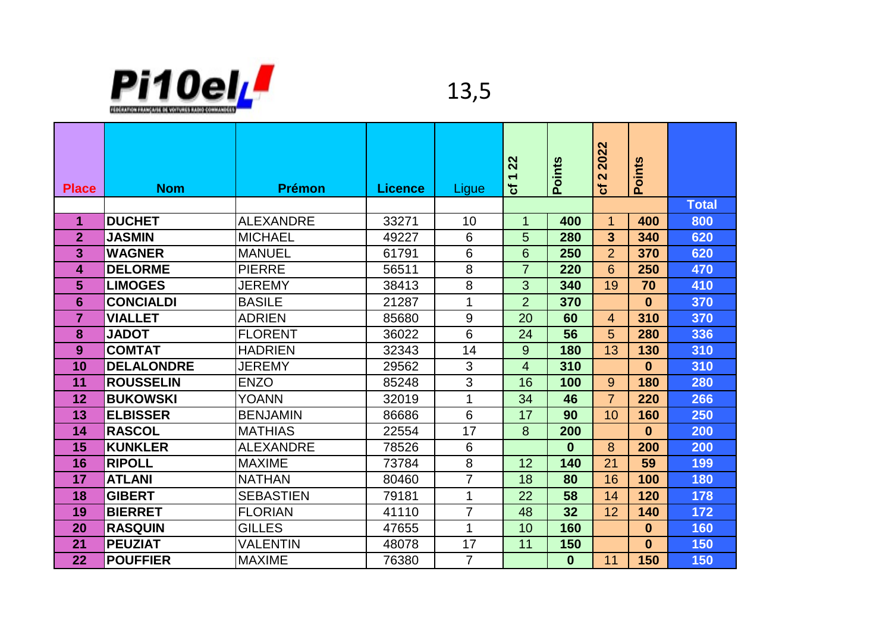

| <b>Place</b>   | <b>Nom</b>        | <b>Prémon</b>    | <b>Licence</b> | Ligue          | 22<br>$\overline{\phantom{0}}$<br>৳ | <b>Points</b> | 2022<br>$\mathbf{\Omega}$<br>ಕ | Points       |              |
|----------------|-------------------|------------------|----------------|----------------|-------------------------------------|---------------|--------------------------------|--------------|--------------|
|                |                   |                  |                |                |                                     |               |                                |              | <b>Total</b> |
| 1              | <b>DUCHET</b>     | <b>ALEXANDRE</b> | 33271          | 10             | 1                                   | 400           | $\mathbf 1$                    | 400          | 800          |
| $\overline{2}$ | <b>JASMIN</b>     | <b>MICHAEL</b>   | 49227          | 6              | 5                                   | 280           | $\overline{3}$                 | 340          | 620          |
| 3              | <b>WAGNER</b>     | <b>MANUEL</b>    | 61791          | 6              | 6                                   | 250           | $\overline{2}$                 | 370          | 620          |
| 4              | <b>DELORME</b>    | <b>PIERRE</b>    | 56511          | 8              | $\overline{7}$                      | 220           | 6                              | 250          | 470          |
| 5              | <b>LIMOGES</b>    | <b>JEREMY</b>    | 38413          | 8              | 3                                   | 340           | 19                             | 70           | 410          |
| 6              | <b>CONCIALDI</b>  | <b>BASILE</b>    | 21287          | 1              | $\overline{2}$                      | 370           |                                | $\bf{0}$     | 370          |
| $\overline{7}$ | <b>VIALLET</b>    | <b>ADRIEN</b>    | 85680          | 9              | 20                                  | 60            | $\overline{4}$                 | 310          | 370          |
| 8              | <b>JADOT</b>      | <b>FLORENT</b>   | 36022          | 6              | 24                                  | 56            | 5                              | 280          | 336          |
| 9              | <b>COMTAT</b>     | <b>HADRIEN</b>   | 32343          | 14             | 9                                   | 180           | 13                             | 130          | 310          |
| 10             | <b>DELALONDRE</b> | <b>JEREMY</b>    | 29562          | 3              | $\overline{4}$                      | 310           |                                | $\mathbf{0}$ | 310          |
| 11             | <b>ROUSSELIN</b>  | <b>ENZO</b>      | 85248          | 3              | 16                                  | 100           | 9                              | 180          | 280          |
| 12             | <b>BUKOWSKI</b>   | <b>YOANN</b>     | 32019          | 1              | 34                                  | 46            | $\overline{7}$                 | 220          | 266          |
| 13             | <b>ELBISSER</b>   | <b>BENJAMIN</b>  | 86686          | 6              | 17                                  | 90            | 10                             | 160          | 250          |
| 14             | <b>RASCOL</b>     | <b>MATHIAS</b>   | 22554          | 17             | 8                                   | 200           |                                | $\mathbf{0}$ | 200          |
| 15             | <b>KUNKLER</b>    | <b>ALEXANDRE</b> | 78526          | 6              |                                     | $\bf{0}$      | 8                              | 200          | 200          |
| 16             | <b>RIPOLL</b>     | <b>MAXIME</b>    | 73784          | 8              | 12                                  | 140           | 21                             | 59           | 199          |
| 17             | <b>ATLANI</b>     | <b>NATHAN</b>    | 80460          | $\overline{7}$ | 18                                  | 80            | 16                             | 100          | 180          |
| 18             | <b>GIBERT</b>     | <b>SEBASTIEN</b> | 79181          | 1              | 22                                  | 58            | 14                             | 120          | 178          |
| 19             | <b>BIERRET</b>    | <b>FLORIAN</b>   | 41110          | 7              | 48                                  | 32            | 12                             | 140          | 172          |
| 20             | <b>RASQUIN</b>    | <b>GILLES</b>    | 47655          | 1              | 10                                  | 160           |                                | $\bf{0}$     | 160          |
| 21             | <b>PEUZIAT</b>    | <b>VALENTIN</b>  | 48078          | 17             | 11                                  | 150           |                                | $\mathbf{0}$ | 150          |
| 22             | <b>POUFFIER</b>   | <b>MAXIME</b>    | 76380          | $\overline{7}$ |                                     | $\bf{0}$      | 11                             | 150          | 150          |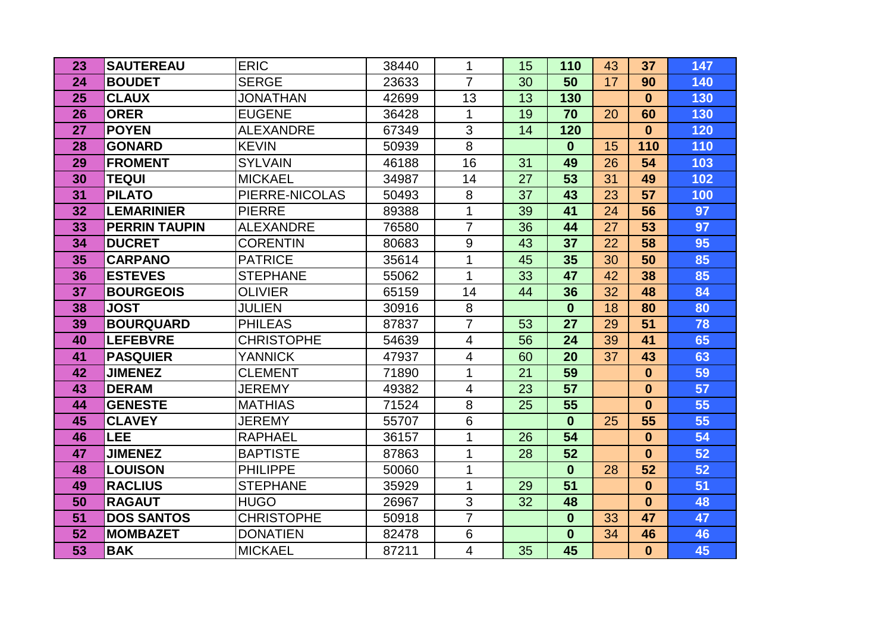| 23 | <b>SAUTEREAU</b>     | <b>ERIC</b>       | 38440 | 1              | 15 | 110          | 43 | 37           | 147 |
|----|----------------------|-------------------|-------|----------------|----|--------------|----|--------------|-----|
| 24 | <b>BOUDET</b>        | <b>SERGE</b>      | 23633 | $\overline{7}$ | 30 | 50           | 17 | 90           | 140 |
| 25 | <b>CLAUX</b>         | <b>JONATHAN</b>   | 42699 | 13             | 13 | 130          |    | $\mathbf{0}$ | 130 |
| 26 | <b>ORER</b>          | <b>EUGENE</b>     | 36428 | 1              | 19 | 70           | 20 | 60           | 130 |
| 27 | <b>POYEN</b>         | <b>ALEXANDRE</b>  | 67349 | $\overline{3}$ | 14 | 120          |    | $\mathbf{0}$ | 120 |
| 28 | <b>GONARD</b>        | <b>KEVIN</b>      | 50939 | 8              |    | $\bf{0}$     | 15 | 110          | 110 |
| 29 | <b>FROMENT</b>       | <b>SYLVAIN</b>    | 46188 | 16             | 31 | 49           | 26 | 54           | 103 |
| 30 | <b>TEQUI</b>         | <b>MICKAEL</b>    | 34987 | 14             | 27 | 53           | 31 | 49           | 102 |
| 31 | <b>PILATO</b>        | PIERRE-NICOLAS    | 50493 | 8              | 37 | 43           | 23 | 57           | 100 |
| 32 | <b>LEMARINIER</b>    | <b>PIERRE</b>     | 89388 | 1              | 39 | 41           | 24 | 56           | 97  |
| 33 | <b>PERRIN TAUPIN</b> | <b>ALEXANDRE</b>  | 76580 | $\overline{7}$ | 36 | 44           | 27 | 53           | 97  |
| 34 | <b>DUCRET</b>        | <b>CORENTIN</b>   | 80683 | 9              | 43 | 37           | 22 | 58           | 95  |
| 35 | <b>CARPANO</b>       | <b>PATRICE</b>    | 35614 | 1              | 45 | 35           | 30 | 50           | 85  |
| 36 | <b>ESTEVES</b>       | <b>STEPHANE</b>   | 55062 | 1              | 33 | 47           | 42 | 38           | 85  |
| 37 | <b>BOURGEOIS</b>     | <b>OLIVIER</b>    | 65159 | 14             | 44 | 36           | 32 | 48           | 84  |
| 38 | <b>JOST</b>          | <b>JULIEN</b>     | 30916 | 8              |    | $\bf{0}$     | 18 | 80           | 80  |
| 39 | <b>BOURQUARD</b>     | <b>PHILEAS</b>    | 87837 | $\overline{7}$ | 53 | 27           | 29 | 51           | 78  |
| 40 | <b>LEFEBVRE</b>      | <b>CHRISTOPHE</b> | 54639 | $\overline{4}$ | 56 | 24           | 39 | 41           | 65  |
| 41 | <b>PASQUIER</b>      | <b>YANNICK</b>    | 47937 | 4              | 60 | 20           | 37 | 43           | 63  |
| 42 | <b>JIMENEZ</b>       | <b>CLEMENT</b>    | 71890 | 1              | 21 | 59           |    | $\mathbf{0}$ | 59  |
| 43 | <b>DERAM</b>         | <b>JEREMY</b>     | 49382 | $\overline{4}$ | 23 | 57           |    | $\bf{0}$     | 57  |
| 44 | <b>GENESTE</b>       | <b>MATHIAS</b>    | 71524 | 8              | 25 | 55           |    | $\mathbf{0}$ | 55  |
| 45 | <b>CLAVEY</b>        | <b>JEREMY</b>     | 55707 | $6\phantom{1}$ |    | $\bf{0}$     | 25 | 55           | 55  |
| 46 | <b>LEE</b>           | <b>RAPHAEL</b>    | 36157 | 1              | 26 | 54           |    | $\mathbf{0}$ | 54  |
| 47 | <b>JIMENEZ</b>       | <b>BAPTISTE</b>   | 87863 | 1              | 28 | 52           |    | $\mathbf{0}$ | 52  |
| 48 | <b>LOUISON</b>       | <b>PHILIPPE</b>   | 50060 | 1              |    | $\mathbf{0}$ | 28 | 52           | 52  |
| 49 | <b>RACLIUS</b>       | <b>STEPHANE</b>   | 35929 | $\mathbf{1}$   | 29 | 51           |    | $\mathbf{0}$ | 51  |
| 50 | <b>RAGAUT</b>        | <b>HUGO</b>       | 26967 | 3              | 32 | 48           |    | $\bf{0}$     | 48  |
| 51 | <b>DOS SANTOS</b>    | <b>CHRISTOPHE</b> | 50918 | $\overline{7}$ |    | $\bf{0}$     | 33 | 47           | 47  |
| 52 | <b>MOMBAZET</b>      | <b>DONATIEN</b>   | 82478 | 6              |    | $\bf{0}$     | 34 | 46           | 46  |
| 53 | <b>BAK</b>           | <b>MICKAEL</b>    | 87211 | $\overline{4}$ | 35 | 45           |    | $\mathbf{0}$ | 45  |